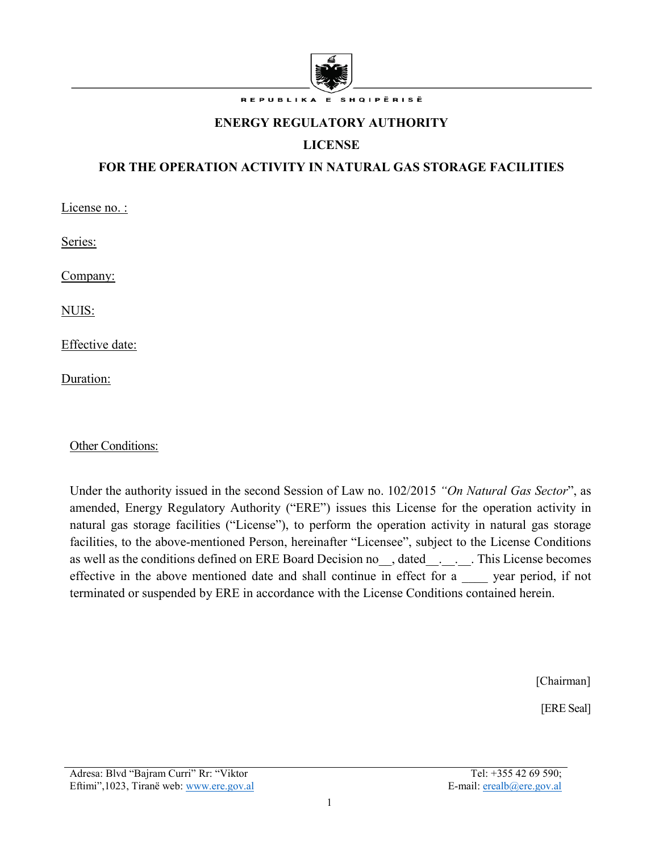

REPUBLIKA E SHQIPËRISË

#### **ENERGY REGULATORY AUTHORITY**

# **LICENSE**

### **FOR THE OPERATION ACTIVITY IN NATURAL GAS STORAGE FACILITIES**

License no. :

Series:

Company:

NUIS:

Effective date:

Duration:

Other Conditions:

Under the authority issued in the second Session of Law no. 102/2015 *"On Natural Gas Sector*", as amended, Energy Regulatory Authority ("ERE") issues this License for the operation activity in natural gas storage facilities ("License"), to perform the operation activity in natural gas storage facilities, to the above-mentioned Person, hereinafter "Licensee", subject to the License Conditions as well as the conditions defined on ERE Board Decision no  $\,$ , dated  $\,$  .  $\,$  . This License becomes effective in the above mentioned date and shall continue in effect for a year period, if not terminated or suspended by ERE in accordance with the License Conditions contained herein.

[Chairman]

[ERE Seal]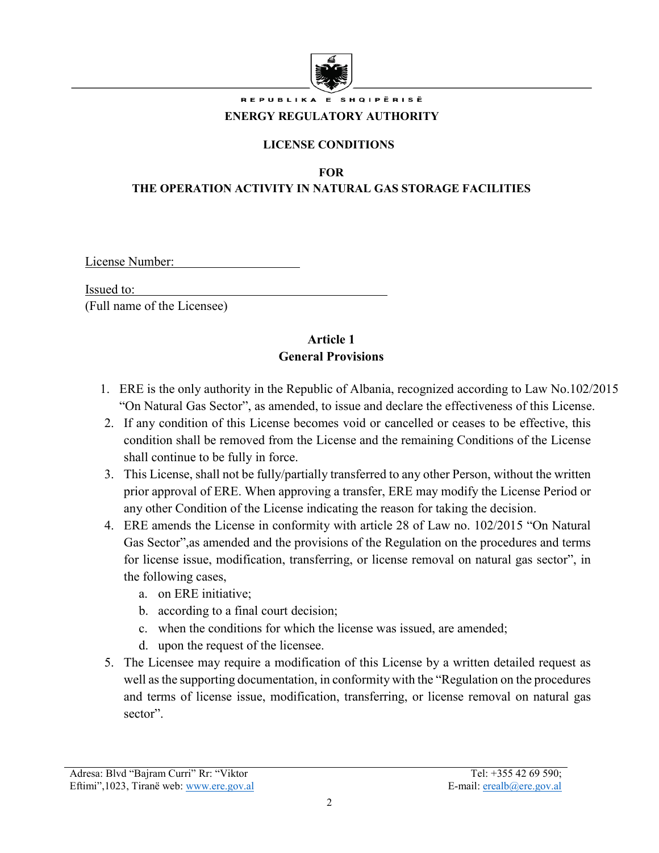

REPUBLIKA E SHQIPËRISË

#### **ENERGY REGULATORY AUTHORITY**

#### **LICENSE CONDITIONS**

**FOR**

#### **THE OPERATION ACTIVITY IN NATURAL GAS STORAGE FACILITIES**

License Number:

Issued to:

(Full name of the Licensee)

#### **Article 1 General Provisions**

- 1. ERE is the only authority in the Republic of Albania, recognized according to Law No.102/2015 "On Natural Gas Sector", as amended, to issue and declare the effectiveness of this License.
- 2. If any condition of this License becomes void or cancelled or ceases to be effective, this condition shall be removed from the License and the remaining Conditions of the License shall continue to be fully in force.
- 3. This License, shall not be fully/partially transferred to any other Person, without the written prior approval of ERE. When approving a transfer, ERE may modify the License Period or any other Condition of the License indicating the reason for taking the decision.
- 4. ERE amends the License in conformity with article 28 of Law no. 102/2015 "On Natural Gas Sector",as amended and the provisions of the Regulation on the procedures and terms for license issue, modification, transferring, or license removal on natural gas sector", in the following cases,
	- a. on ERE initiative;
	- b. according to a final court decision;
	- c. when the conditions for which the license was issued, are amended;
	- d. upon the request of the licensee.
- 5. The Licensee may require a modification of this License by a written detailed request as well as the supporting documentation, in conformity with the "Regulation on the procedures and terms of license issue, modification, transferring, or license removal on natural gas sector".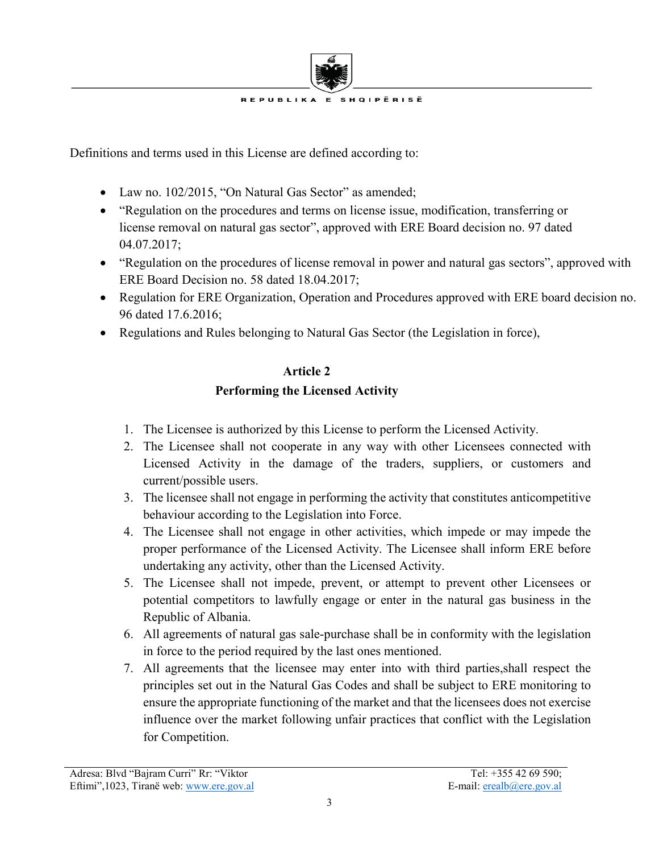

Definitions and terms used in this License are defined according to:

- Law no. 102/2015, "On Natural Gas Sector" as amended;
- "Regulation on the procedures and terms on license issue, modification, transferring or license removal on natural gas sector", approved with ERE Board decision no. 97 dated 04.07.2017;
- "Regulation on the procedures of license removal in power and natural gas sectors", approved with ERE Board Decision no. 58 dated 18.04.2017;
- Regulation for ERE Organization, Operation and Procedures approved with ERE board decision no. 96 dated 17.6.2016;
- Regulations and Rules belonging to Natural Gas Sector (the Legislation in force),

#### **Article 2**

# **Performing the Licensed Activity**

- 1. The Licensee is authorized by this License to perform the Licensed Activity.
- 2. The Licensee shall not cooperate in any way with other Licensees connected with Licensed Activity in the damage of the traders, suppliers, or customers and current/possible users.
- 3. The licensee shall not engage in performing the activity that constitutes anticompetitive behaviour according to the Legislation into Force.
- 4. The Licensee shall not engage in other activities, which impede or may impede the proper performance of the Licensed Activity. The Licensee shall inform ERE before undertaking any activity, other than the Licensed Activity.
- 5. The Licensee shall not impede, prevent, or attempt to prevent other Licensees or potential competitors to lawfully engage or enter in the natural gas business in the Republic of Albania.
- 6. All agreements of natural gas sale-purchase shall be in conformity with the legislation in force to the period required by the last ones mentioned.
- 7. All agreements that the licensee may enter into with third parties,shall respect the principles set out in the Natural Gas Codes and shall be subject to ERE monitoring to ensure the appropriate functioning of the market and that the licensees does not exercise influence over the market following unfair practices that conflict with the Legislation for Competition.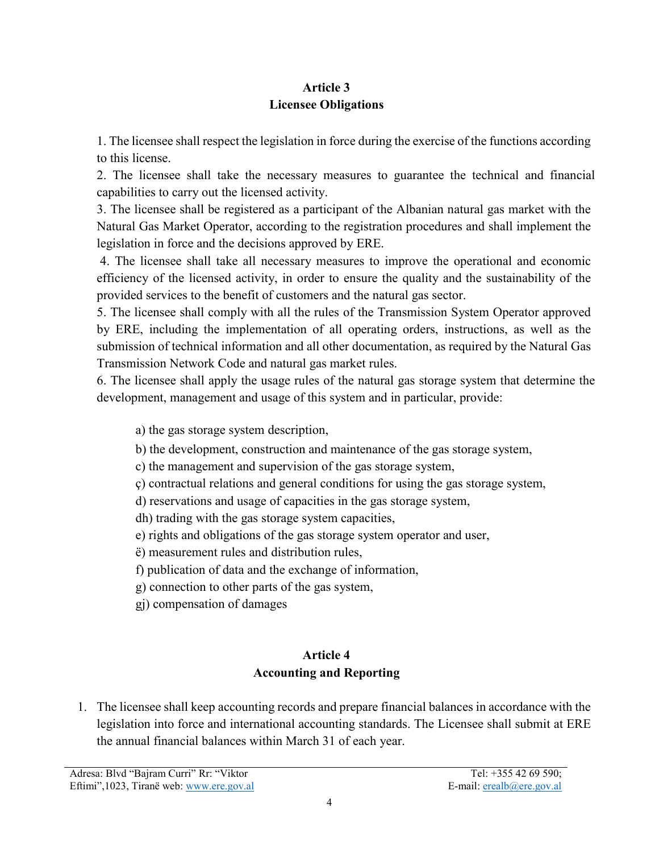# **Article 3 Licensee Obligations**

1. The licensee shall respect the legislation in force during the exercise of the functions according to this license.

2. The licensee shall take the necessary measures to guarantee the technical and financial capabilities to carry out the licensed activity.

3. The licensee shall be registered as a participant of the Albanian natural gas market with the Natural Gas Market Operator, according to the registration procedures and shall implement the legislation in force and the decisions approved by ERE.

4. The licensee shall take all necessary measures to improve the operational and economic efficiency of the licensed activity, in order to ensure the quality and the sustainability of the provided services to the benefit of customers and the natural gas sector.

5. The licensee shall comply with all the rules of the Transmission System Operator approved by ERE, including the implementation of all operating orders, instructions, as well as the submission of technical information and all other documentation, as required by the Natural Gas Transmission Network Code and natural gas market rules.

6. The licensee shall apply the usage rules of the natural gas storage system that determine the development, management and usage of this system and in particular, provide:

a) the gas storage system description,

b) the development, construction and maintenance of the gas storage system,

c) the management and supervision of the gas storage system,

ç) contractual relations and general conditions for using the gas storage system,

d) reservations and usage of capacities in the gas storage system,

dh) trading with the gas storage system capacities,

e) rights and obligations of the gas storage system operator and user,

ë) measurement rules and distribution rules,

f) publication of data and the exchange of information,

g) connection to other parts of the gas system,

gj) compensation of damages

# **Article 4 Accounting and Reporting**

1. The licensee shall keep accounting records and prepare financial balances in accordance with the legislation into force and international accounting standards. The Licensee shall submit at ERE the annual financial balances within March 31 of each year.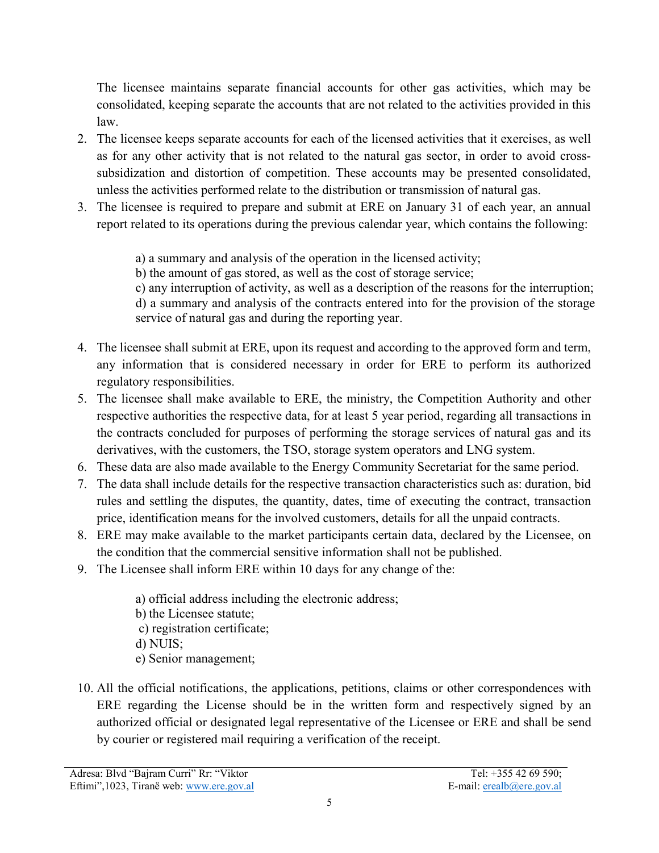The licensee maintains separate financial accounts for other gas activities, which may be consolidated, keeping separate the accounts that are not related to the activities provided in this law.

- 2. The licensee keeps separate accounts for each of the licensed activities that it exercises, as well as for any other activity that is not related to the natural gas sector, in order to avoid crosssubsidization and distortion of competition. These accounts may be presented consolidated, unless the activities performed relate to the distribution or transmission of natural gas.
- 3. The licensee is required to prepare and submit at ERE on January 31 of each year, an annual report related to its operations during the previous calendar year, which contains the following:

a) a summary and analysis of the operation in the licensed activity;

b) the amount of gas stored, as well as the cost of storage service;

c) any interruption of activity, as well as a description of the reasons for the interruption; d) a summary and analysis of the contracts entered into for the provision of the storage service of natural gas and during the reporting year.

- 4. The licensee shall submit at ERE, upon its request and according to the approved form and term, any information that is considered necessary in order for ERE to perform its authorized regulatory responsibilities.
- 5. The licensee shall make available to ERE, the ministry, the Competition Authority and other respective authorities the respective data, for at least 5 year period, regarding all transactions in the contracts concluded for purposes of performing the storage services of natural gas and its derivatives, with the customers, the TSO, storage system operators and LNG system.
- 6. These data are also made available to the Energy Community Secretariat for the same period.
- 7. The data shall include details for the respective transaction characteristics such as: duration, bid rules and settling the disputes, the quantity, dates, time of executing the contract, transaction price, identification means for the involved customers, details for all the unpaid contracts.
- 8. ERE may make available to the market participants certain data, declared by the Licensee, on the condition that the commercial sensitive information shall not be published.
- 9. The Licensee shall inform ERE within 10 days for any change of the:

a) official address including the electronic address; b) the Licensee statute; c) registration certificate; d) NUIS; e) Senior management;

10. All the official notifications, the applications, petitions, claims or other correspondences with ERE regarding the License should be in the written form and respectively signed by an authorized official or designated legal representative of the Licensee or ERE and shall be send by courier or registered mail requiring a verification of the receipt.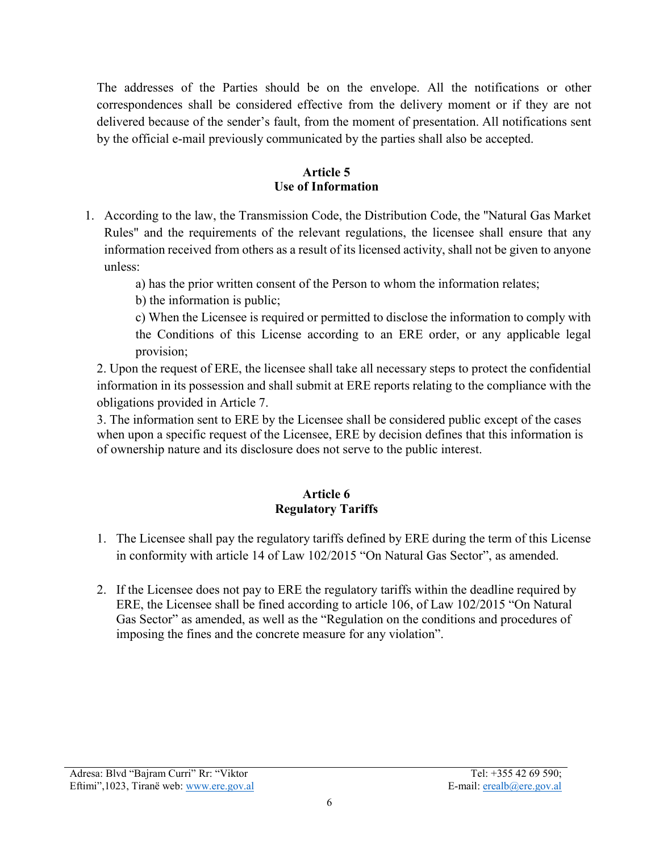The addresses of the Parties should be on the envelope. All the notifications or other correspondences shall be considered effective from the delivery moment or if they are not delivered because of the sender's fault, from the moment of presentation. All notifications sent by the official e-mail previously communicated by the parties shall also be accepted.

### **Article 5 Use of Information**

1. According to the law, the Transmission Code, the Distribution Code, the "Natural Gas Market Rules" and the requirements of the relevant regulations, the licensee shall ensure that any information received from others as a result of its licensed activity, shall not be given to anyone unless:

a) has the prior written consent of the Person to whom the information relates;

b) the information is public;

c) When the Licensee is required or permitted to disclose the information to comply with the Conditions of this License according to an ERE order, or any applicable legal provision;

2. Upon the request of ERE, the licensee shall take all necessary steps to protect the confidential information in its possession and shall submit at ERE reports relating to the compliance with the obligations provided in Article 7.

3. The information sent to ERE by the Licensee shall be considered public except of the cases when upon a specific request of the Licensee, ERE by decision defines that this information is of ownership nature and its disclosure does not serve to the public interest.

## **Article 6 Regulatory Tariffs**

- 1. The Licensee shall pay the regulatory tariffs defined by ERE during the term of this License in conformity with article 14 of Law 102/2015 "On Natural Gas Sector", as amended.
- 2. If the Licensee does not pay to ERE the regulatory tariffs within the deadline required by ERE, the Licensee shall be fined according to article 106, of Law 102/2015 "On Natural Gas Sector" as amended, as well as the "Regulation on the conditions and procedures of imposing the fines and the concrete measure for any violation".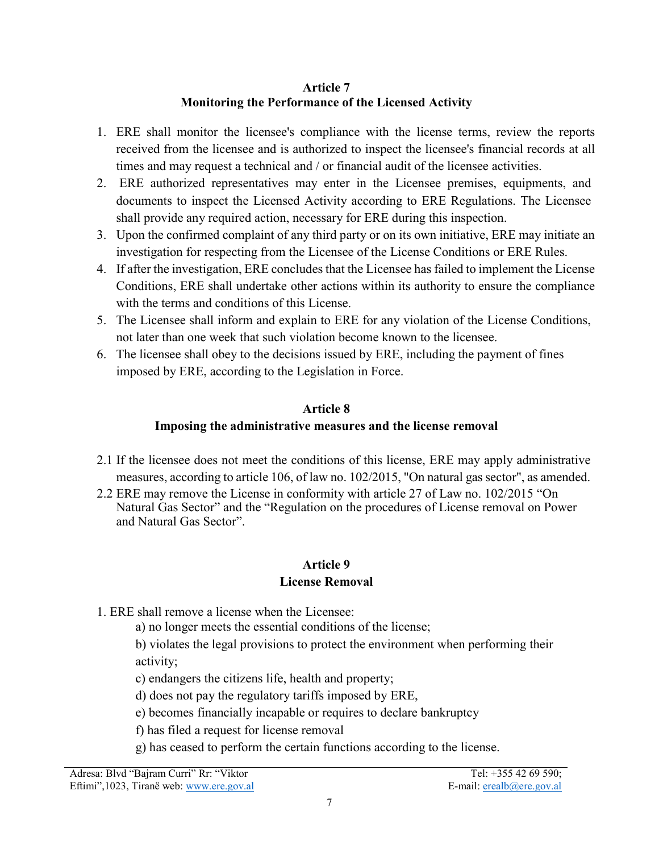#### **Article 7 Monitoring the Performance of the Licensed Activity**

- 1. ERE shall monitor the licensee's compliance with the license terms, review the reports received from the licensee and is authorized to inspect the licensee's financial records at all times and may request a technical and / or financial audit of the licensee activities.
- 2. ERE authorized representatives may enter in the Licensee premises, equipments, and documents to inspect the Licensed Activity according to ERE Regulations. The Licensee shall provide any required action, necessary for ERE during this inspection.
- 3. Upon the confirmed complaint of any third party or on its own initiative, ERE may initiate an investigation for respecting from the Licensee of the License Conditions or ERE Rules.
- 4. If after the investigation, ERE concludes that the Licensee has failed to implement the License Conditions, ERE shall undertake other actions within its authority to ensure the compliance with the terms and conditions of this License.
- 5. The Licensee shall inform and explain to ERE for any violation of the License Conditions, not later than one week that such violation become known to the licensee.
- 6. The licensee shall obey to the decisions issued by ERE, including the payment of fines imposed by ERE, according to the Legislation in Force.

#### **Article 8**

# **Imposing the administrative measures and the license removal**

- 2.1 If the licensee does not meet the conditions of this license, ERE may apply administrative measures, according to article 106, of law no. 102/2015, "On natural gas sector", as amended.
- 2.2 ERE may remove the License in conformity with article 27 of Law no. 102/2015 "On Natural Gas Sector" and the "Regulation on the procedures of License removal on Power and Natural Gas Sector".

# **Article 9**

- **License Removal**
- 1. ERE shall remove a license when the Licensee:
	- a) no longer meets the essential conditions of the license;

b) violates the legal provisions to protect the environment when performing their activity;

c) endangers the citizens life, health and property;

d) does not pay the regulatory tariffs imposed by ERE,

e) becomes financially incapable or requires to declare bankruptcy

f) has filed a request for license removal

g) has ceased to perform the certain functions according to the license.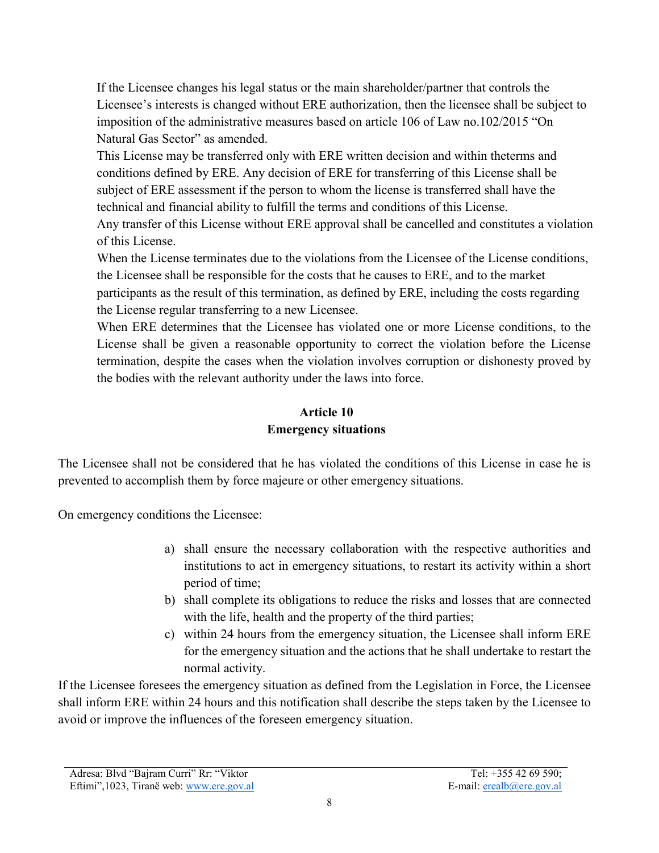If the Licensee changes his legal status or the main shareholder/partner that controls the Licensee's interests is changed without ERE authorization, then the licensee shall be subject to imposition of the administrative measures based on article 106 of Law no.102/2015 "On Natural Gas Sector" as amended.

This License may be transferred only with ERE written decision and within theterms and conditions defined by ERE. Any decision of ERE for transferring of this License shall be subject of ERE assessment if the person to whom the license is transferred shall have the technical and financial ability to fulfill the terms and conditions of this License.

Any transfer of this License without ERE approval shall be cancelled and constitutes a violation of this License.

When the License terminates due to the violations from the Licensee of the License conditions, the Licensee shall be responsible for the costs that he causes to ERE, and to the market participants as the result of this termination, as defined by ERE, including the costs regarding the License regular transferring to a new Licensee.

When ERE determines that the Licensee has violated one or more License conditions, to the License shall be given a reasonable opportunity to correct the violation before the License termination, despite the cases when the violation involves corruption or dishonesty proved by the bodies with the relevant authority under the laws into force.

# **Article 10 Emergency situations**

The Licensee shall not be considered that he has violated the conditions of this License in case he is prevented to accomplish them by force majeure or other emergency situations.

On emergency conditions the Licensee:

- a) shall ensure the necessary collaboration with the respective authorities and institutions to act in emergency situations, to restart its activity within a short period of time;
- b) shall complete its obligations to reduce the risks and losses that are connected with the life, health and the property of the third parties;
- c) within 24 hours from the emergency situation, the Licensee shall inform ERE for the emergency situation and the actions that he shall undertake to restart the normal activity.

If the Licensee foresees the emergency situation as defined from the Legislation in Force, the Licensee shall inform ERE within 24 hours and this notification shall describe the steps taken by the Licensee to avoid or improve the influences of the foreseen emergency situation.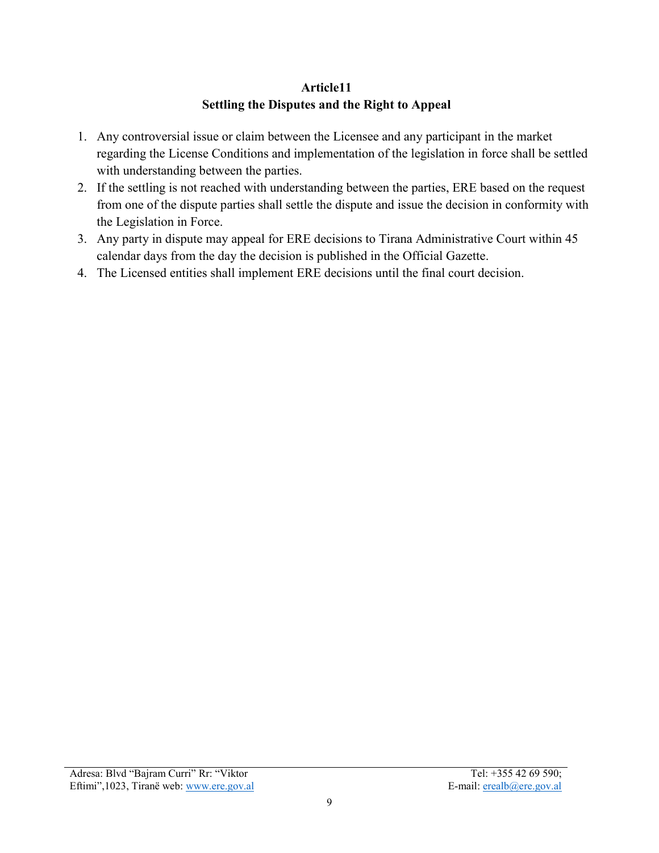# **Article11 Settling the Disputes and the Right to Appeal**

- 1. Any controversial issue or claim between the Licensee and any participant in the market regarding the License Conditions and implementation of the legislation in force shall be settled with understanding between the parties.
- 2. If the settling is not reached with understanding between the parties, ERE based on the request from one of the dispute parties shall settle the dispute and issue the decision in conformity with the Legislation in Force.
- 3. Any party in dispute may appeal for ERE decisions to Tirana Administrative Court within 45 calendar days from the day the decision is published in the Official Gazette.
- 4. The Licensed entities shall implement ERE decisions until the final court decision.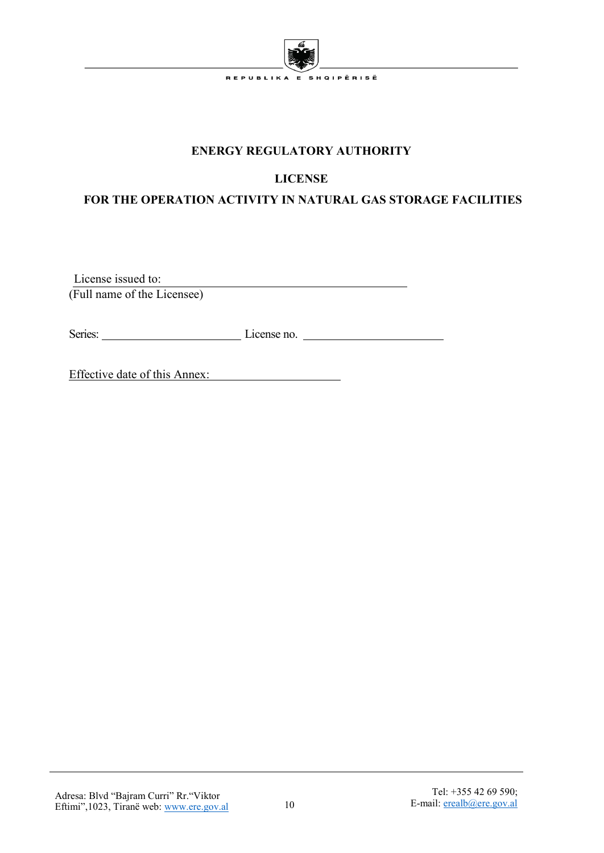

## **ENERGY REGULATORY AUTHORITY**

# **LICENSE**

# **FOR THE OPERATION ACTIVITY IN NATURAL GAS STORAGE FACILITIES**

 License issued to: <u> 1989 - Johann Barn, mars eta bainar eta bainar eta baina eta baina eta baina eta baina eta baina eta baina e</u> (Full name of the Licensee)

Series: License no.

Effective date of this Annex: